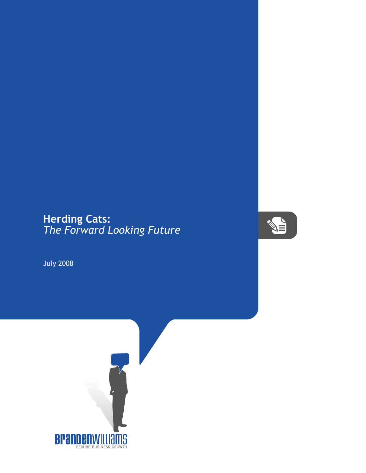## **Herding Cats:** *The Forward Looking Future*



July 2008

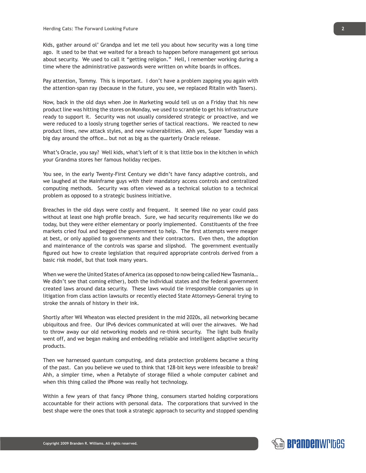Kids, gather around ol' Grandpa and let me tell you about how security was a long time ago. It used to be that we waited for a breach to happen before management got serious about security. We used to call it "getting religion." Hell, I remember working during a time where the administrative passwords were written on white boards in offices.

Pay attention, Tommy. This is important. I don't have a problem zapping you again with the attention-span ray (because in the future, you see, we replaced Ritalin with Tasers).

Now, back in the old days when Joe in Marketing would tell us on a Friday that his new product line was hitting the stores on Monday, we used to scramble to get his infrastructure ready to support it. Security was not usually considered strategic or proactive, and we were reduced to a loosly strung together series of tactical reactions. We reacted to new product lines, new attack styles, and new vulnerabilities. Ahh yes, Super Tuesday was a big day around the office… but not as big as the quarterly Oracle release.

What's Oracle, you say? Well kids, what's left of it is that little box in the kitchen in which your Grandma stores her famous holiday recipes.

You see, in the early Twenty-First Century we didn't have fancy adaptive controls, and we laughed at the Mainframe guys with their mandatory access controls and centralized computing methods. Security was often viewed as a technical solution to a technical problem as opposed to a strategic business initiative.

Breaches in the old days were costly and frequent. It seemed like no year could pass without at least one high profile breach. Sure, we had security requirements like we do today, but they were either elementary or poorly implemented. Constituents of the free markets cried foul and begged the government to help. The first attempts were meager at best, or only applied to governments and their contractors. Even then, the adoption and maintenance of the controls was sparse and slipshod. The government eventually figured out how to create legislation that required appropriate controls derived from a basic risk model, but that took many years.

When we were the United States of America (as opposed to now being called New Tasmania… We didn't see that coming either), both the individual states and the federal government created laws around data security. These laws would tie irresponsible companies up in litigation from class action lawsuits or recently elected State Attorneys-General trying to stroke the annals of history in their ink.

Shortly after Wil Wheaton was elected president in the mid 2020s, all networking became ubiquitous and free. Our IPv6 devices communicated at will over the airwaves. We had to throw away our old networking models and re-think security. The light bulb finally went off, and we began making and embedding reliable and intelligent adaptive security products.

Then we harnessed quantum computing, and data protection problems became a thing of the past. Can you believe we used to think that 128-bit keys were infeasible to break? Ahh, a simpler time, when a Petabyte of storage filled a whole computer cabinet and when this thing called the iPhone was really hot technology.

Within a few years of that fancy iPhone thing, consumers started holding corporations accountable for their actions with personal data. The corporations that survived in the best shape were the ones that took a strategic approach to security and stopped spending

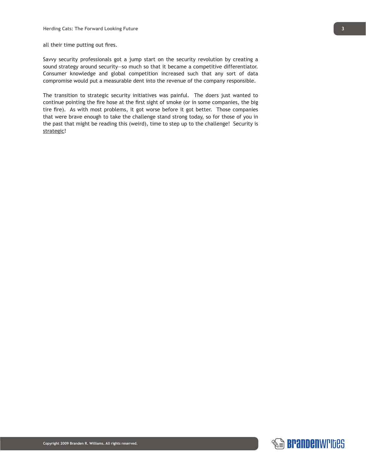all their time putting out fires.

Savvy security professionals got a jump start on the security revolution by creating a sound strategy around security—so much so that it became a competitive differentiator. Consumer knowledge and global competition increased such that any sort of data compromise would put a measurable dent into the revenue of the company responsible.

The transition to strategic security initiatives was painful. The doers just wanted to continue pointing the fire hose at the first sight of smoke (or in some companies, the big tire fire). As with most problems, it got worse before it got better. Those companies that were brave enough to take the challenge stand strong today, so for those of you in the past that might be reading this (weird), time to step up to the challenge! Security is strategic!